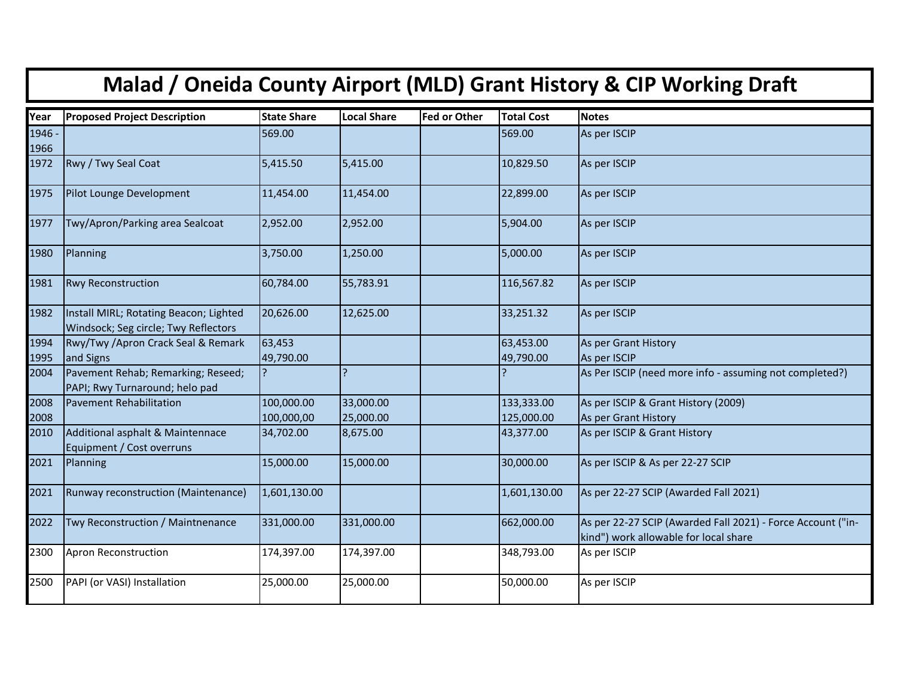| Malad / Oneida County Airport (MLD) Grant History & CIP Working Draft |                                                                                |                    |                    |                     |                   |                                                         |  |  |  |
|-----------------------------------------------------------------------|--------------------------------------------------------------------------------|--------------------|--------------------|---------------------|-------------------|---------------------------------------------------------|--|--|--|
| Year                                                                  | <b>Proposed Project Description</b>                                            | <b>State Share</b> | <b>Local Share</b> | <b>Fed or Other</b> | <b>Total Cost</b> | <b>Notes</b>                                            |  |  |  |
| 1946 -<br>1966                                                        |                                                                                | 569.00             |                    |                     | 569.00            | As per ISCIP                                            |  |  |  |
| 1972                                                                  | Rwy / Twy Seal Coat                                                            | 5,415.50           | 5,415.00           |                     | 10,829.50         | As per ISCIP                                            |  |  |  |
| 1975                                                                  | Pilot Lounge Development                                                       | 11,454.00          | 11,454.00          |                     | 22,899.00         | As per ISCIP                                            |  |  |  |
| 1977                                                                  | Twy/Apron/Parking area Sealcoat                                                | 2,952.00           | 2,952.00           |                     | 5,904.00          | As per ISCIP                                            |  |  |  |
| 1980                                                                  | Planning                                                                       | 3,750.00           | 1,250.00           |                     | 5,000.00          | As per ISCIP                                            |  |  |  |
| 1981                                                                  | <b>Rwy Reconstruction</b>                                                      | 60,784.00          | 55,783.91          |                     | 116,567.82        | As per ISCIP                                            |  |  |  |
| 1982                                                                  | Install MIRL; Rotating Beacon; Lighted<br>Windsock; Seg circle; Twy Reflectors | 20,626.00          | 12,625.00          |                     | 33,251.32         | As per ISCIP                                            |  |  |  |
| 1994                                                                  | Rwy/Twy /Apron Crack Seal & Remark                                             | 63,453             |                    |                     | 63,453.00         | As per Grant History                                    |  |  |  |
| 1995                                                                  | and Signs                                                                      | 49,790.00          |                    |                     | 49,790.00         | As per ISCIP                                            |  |  |  |
| 2004                                                                  | Pavement Rehab; Remarking; Reseed;<br>PAPI; Rwy Turnaround; helo pad           |                    |                    |                     |                   | As Per ISCIP (need more info - assuming not completed?) |  |  |  |
| 2008                                                                  | <b>Pavement Rehabilitation</b>                                                 | 100,000.00         | 33,000.00          |                     | 133,333.00        | As per ISCIP & Grant History (2009)                     |  |  |  |
| 2008                                                                  |                                                                                | 100,000,00         | 25,000.00          |                     | 125,000.00        | As per Grant History                                    |  |  |  |
| 2010                                                                  | Additional asphalt & Maintennace<br>Equipment / Cost overruns                  | 34,702.00          | 8,675.00           |                     | 43,377.00         | As per ISCIP & Grant History                            |  |  |  |
| 2021                                                                  | Planning                                                                       | 15,000.00          | 15,000.00          |                     | 30,000.00         | As per ISCIP & As per 22-27 SCIP                        |  |  |  |

2021 Runway reconstruction (Maintenance) 1,601,130.00 1,600,130.00 1,601,130.00 As per 22-27 SCIP (Awarded Fall 2021)

2300 Apron Reconstruction 174,397.00 174,397.00 348,793.00

2500 PAPI (or VASI) Installation 25,000.00 25,000.00 50,000.00 As per ISCIP

2022 Twy Reconstruction / Maintnenance 331,000.00 331,000.00 662,000.00 As per 22-27 SCIP (Awarded Fall 2021) - Force Account ("in-

kind") work allowable for local share<br>As per ISCIP